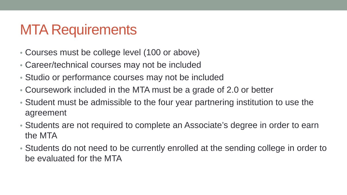## MTA Requirements

- Courses must be college level (100 or above)
- Career/technical courses may not be included
- Studio or performance courses may not be included
- Coursework included in the MTA must be a grade of 2.0 or better
- Student must be admissible to the four year partnering institution to use the agreement
- Students are not required to complete an Associate's degree in order to earn the MTA
- Students do not need to be currently enrolled at the sending college in order to be evaluated for the MTA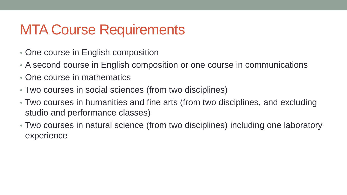## MTA Course Requirements

- One course in English composition
- A second course in English composition or one course in communications
- One course in mathematics
- Two courses in social sciences (from two disciplines)
- Two courses in humanities and fine arts (from two disciplines, and excluding studio and performance classes)
- Two courses in natural science (from two disciplines) including one laboratory experience